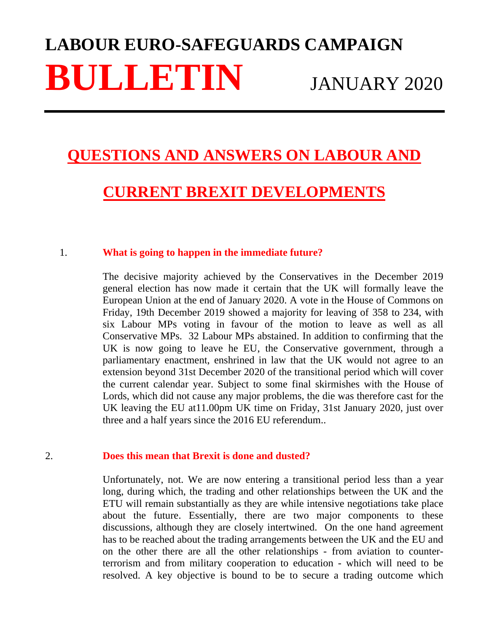# **LABOUR EURO-SAFEGUARDS CAMPAIGN BULLETIN** JANUARY 2020

## **QUESTIONS AND ANSWERS ON LABOUR AND**

## **CURRENT BREXIT DEVELOPMENTS**

#### 1. **What is going to happen in the immediate future?**

The decisive majority achieved by the Conservatives in the December 2019 general election has now made it certain that the UK will formally leave the European Union at the end of January 2020. A vote in the House of Commons on Friday, 19th December 2019 showed a majority for leaving of 358 to 234, with six Labour MPs voting in favour of the motion to leave as well as all Conservative MPs. 32 Labour MPs abstained. In addition to confirming that the UK is now going to leave he EU, the Conservative government, through a parliamentary enactment, enshrined in law that the UK would not agree to an extension beyond 31st December 2020 of the transitional period which will cover the current calendar year. Subject to some final skirmishes with the House of Lords, which did not cause any major problems, the die was therefore cast for the UK leaving the EU at11.00pm UK time on Friday, 31st January 2020, just over three and a half years since the 2016 EU referendum..

### 2. **Does this mean that Brexit is done and dusted?**

Unfortunately, not. We are now entering a transitional period less than a year long, during which, the trading and other relationships between the UK and the ETU will remain substantially as they are while intensive negotiations take place about the future. Essentially, there are two major components to these discussions, although they are closely intertwined. On the one hand agreement has to be reached about the trading arrangements between the UK and the EU and on the other there are all the other relationships - from aviation to counterterrorism and from military cooperation to education - which will need to be resolved. A key objective is bound to be to secure a trading outcome which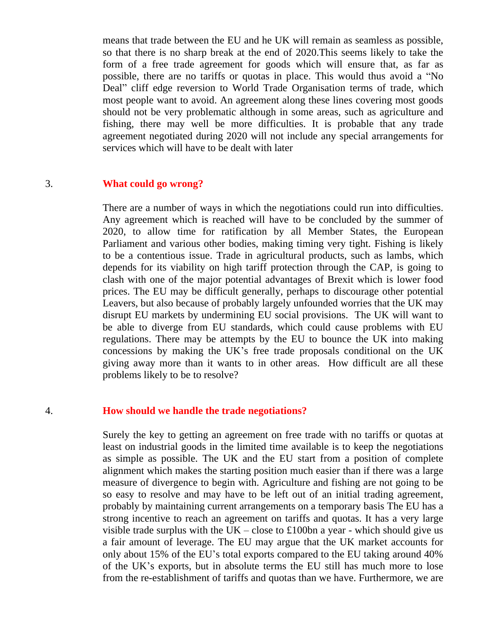means that trade between the EU and he UK will remain as seamless as possible, so that there is no sharp break at the end of 2020.This seems likely to take the form of a free trade agreement for goods which will ensure that, as far as possible, there are no tariffs or quotas in place. This would thus avoid a "No Deal" cliff edge reversion to World Trade Organisation terms of trade, which most people want to avoid. An agreement along these lines covering most goods should not be very problematic although in some areas, such as agriculture and fishing, there may well be more difficulties. It is probable that any trade agreement negotiated during 2020 will not include any special arrangements for services which will have to be dealt with later

#### 3. **What could go wrong?**

There are a number of ways in which the negotiations could run into difficulties. Any agreement which is reached will have to be concluded by the summer of 2020, to allow time for ratification by all Member States, the European Parliament and various other bodies, making timing very tight. Fishing is likely to be a contentious issue. Trade in agricultural products, such as lambs, which depends for its viability on high tariff protection through the CAP, is going to clash with one of the major potential advantages of Brexit which is lower food prices. The EU may be difficult generally, perhaps to discourage other potential Leavers, but also because of probably largely unfounded worries that the UK may disrupt EU markets by undermining EU social provisions. The UK will want to be able to diverge from EU standards, which could cause problems with EU regulations. There may be attempts by the EU to bounce the UK into making concessions by making the UK's free trade proposals conditional on the UK giving away more than it wants to in other areas. How difficult are all these problems likely to be to resolve?

#### 4. **How should we handle the trade negotiations?**

Surely the key to getting an agreement on free trade with no tariffs or quotas at least on industrial goods in the limited time available is to keep the negotiations as simple as possible. The UK and the EU start from a position of complete alignment which makes the starting position much easier than if there was a large measure of divergence to begin with. Agriculture and fishing are not going to be so easy to resolve and may have to be left out of an initial trading agreement, probably by maintaining current arrangements on a temporary basis The EU has a strong incentive to reach an agreement on tariffs and quotas. It has a very large visible trade surplus with the UK – close to £100bn a year - which should give us a fair amount of leverage. The EU may argue that the UK market accounts for only about 15% of the EU's total exports compared to the EU taking around 40% of the UK's exports, but in absolute terms the EU still has much more to lose from the re-establishment of tariffs and quotas than we have. Furthermore, we are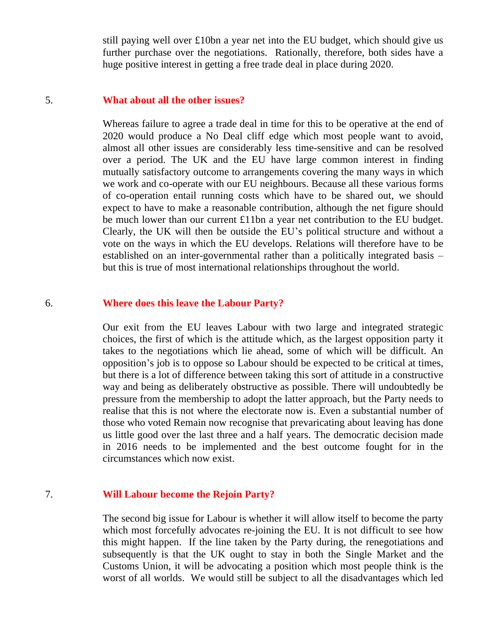still paying well over £10bn a year net into the EU budget, which should give us further purchase over the negotiations. Rationally, therefore, both sides have a huge positive interest in getting a free trade deal in place during 2020.

#### 5. **What about all the other issues?**

Whereas failure to agree a trade deal in time for this to be operative at the end of 2020 would produce a No Deal cliff edge which most people want to avoid, almost all other issues are considerably less time-sensitive and can be resolved over a period. The UK and the EU have large common interest in finding mutually satisfactory outcome to arrangements covering the many ways in which we work and co-operate with our EU neighbours. Because all these various forms of co-operation entail running costs which have to be shared out, we should expect to have to make a reasonable contribution, although the net figure should be much lower than our current £11bn a year net contribution to the EU budget. Clearly, the UK will then be outside the EU's political structure and without a vote on the ways in which the EU develops. Relations will therefore have to be established on an inter-governmental rather than a politically integrated basis – but this is true of most international relationships throughout the world.

#### 6. **Where does this leave the Labour Party?**

Our exit from the EU leaves Labour with two large and integrated strategic choices, the first of which is the attitude which, as the largest opposition party it takes to the negotiations which lie ahead, some of which will be difficult. An opposition's job is to oppose so Labour should be expected to be critical at times, but there is a lot of difference between taking this sort of attitude in a constructive way and being as deliberately obstructive as possible. There will undoubtedly be pressure from the membership to adopt the latter approach, but the Party needs to realise that this is not where the electorate now is. Even a substantial number of those who voted Remain now recognise that prevaricating about leaving has done us little good over the last three and a half years. The democratic decision made in 2016 needs to be implemented and the best outcome fought for in the circumstances which now exist.

### 7. **Will Labour become the Rejoin Party?**

The second big issue for Labour is whether it will allow itself to become the party which most forcefully advocates re-joining the EU. It is not difficult to see how this might happen. If the line taken by the Party during, the renegotiations and subsequently is that the UK ought to stay in both the Single Market and the Customs Union, it will be advocating a position which most people think is the worst of all worlds. We would still be subject to all the disadvantages which led